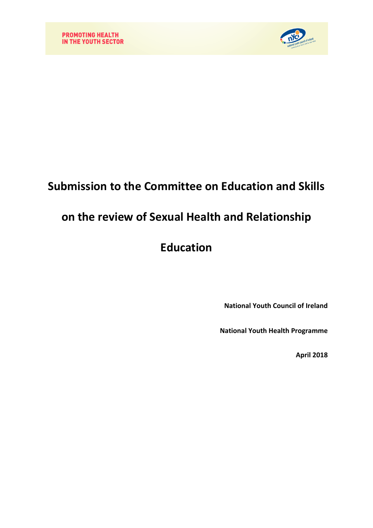

## **Submission to the Committee on Education and Skills**

## **on the review of Sexual Health and Relationship**

# **Education**

**National Youth Council of Ireland**

**National Youth Health Programme**

**April 2018**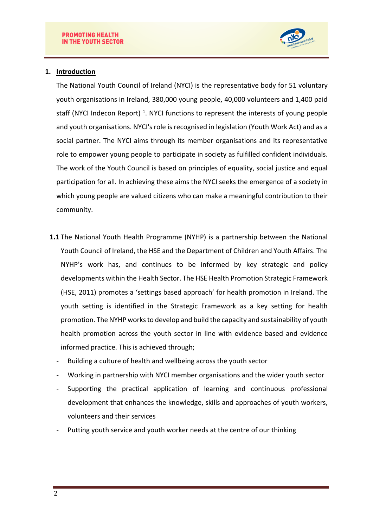

### **1. Introduction**

The National Youth Council of Ireland (NYCI) is the representative body for 51 voluntary youth organisations in Ireland, 380,000 young people, 40,000 volunteers and 1,400 paid staff (NYCI Indecon Report)<sup>1</sup>. NYCI functions to represent the interests of young people and youth organisations. NYCI's role is recognised in legislation (Youth Work Act) and as a social partner. The NYCI aims through its member organisations and its representative role to empower young people to participate in society as fulfilled confident individuals. The work of the Youth Council is based on principles of equality, social justice and equal participation for all. In achieving these aims the NYCI seeks the emergence of a society in which young people are valued citizens who can make a meaningful contribution to their community.

- **1.1** The National Youth Health Programme (NYHP) is a partnership between the National Youth Council of Ireland, the HSE and the Department of Children and Youth Affairs. The NYHP's work has, and continues to be informed by key strategic and policy developments within the Health Sector. The HSE Health Promotion Strategic Framework (HSE, 2011) promotes a 'settings based approach' for health promotion in Ireland. The youth setting is identified in the Strategic Framework as a key setting for health promotion. The NYHP works to develop and build the capacity and sustainability of youth health promotion across the youth sector in line with evidence based and evidence informed practice. This is achieved through;
	- Building a culture of health and wellbeing across the youth sector
	- Working in partnership with NYCI member organisations and the wider youth sector
	- Supporting the practical application of learning and continuous professional development that enhances the knowledge, skills and approaches of youth workers, volunteers and their services
	- Putting youth service and youth worker needs at the centre of our thinking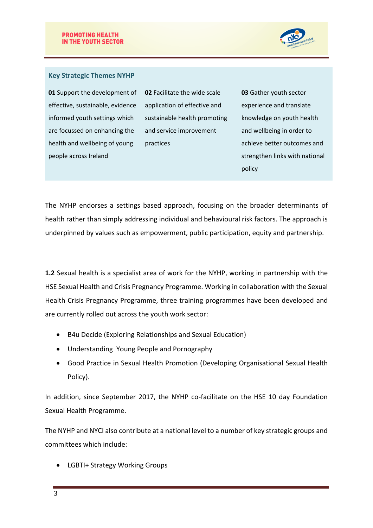

#### **Key Strategic Themes NYHP**

**01** Support the development of effective, sustainable, evidence informed youth settings which are focussed on enhancing the health and wellbeing of young people across Ireland

**02** Facilitate the wide scale application of effective and sustainable health promoting and service improvement practices

**03** Gather youth sector experience and translate knowledge on youth health and wellbeing in order to achieve better outcomes and strengthen links with national policy

The NYHP endorses a settings based approach, focusing on the broader determinants of health rather than simply addressing individual and behavioural risk factors. The approach is underpinned by values such as empowerment, public participation, equity and partnership.

**1.2** Sexual health is a specialist area of work for the NYHP, working in partnership with the HSE Sexual Health and Crisis Pregnancy Programme. Working in collaboration with the Sexual Health Crisis Pregnancy Programme, three training programmes have been developed and are currently rolled out across the youth work sector:

- B4u Decide (Exploring Relationships and Sexual Education)
- Understanding Young People and Pornography
- Good Practice in Sexual Health Promotion (Developing Organisational Sexual Health Policy).

In addition, since September 2017, the NYHP co-facilitate on the HSE 10 day Foundation Sexual Health Programme.

The NYHP and NYCI also contribute at a national level to a number of key strategic groups and committees which include:

LGBTI+ Strategy Working Groups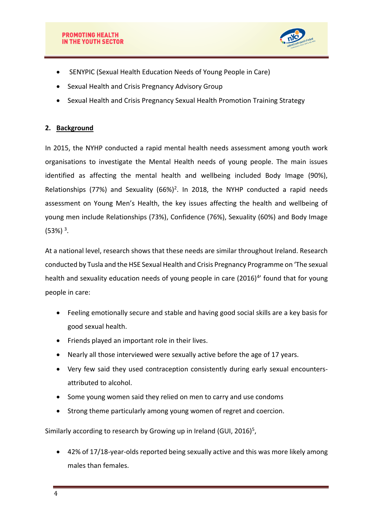

- SENYPIC (Sexual Health Education Needs of Young People in Care)
- Sexual Health and Crisis Pregnancy Advisory Group
- Sexual Health and Crisis Pregnancy Sexual Health Promotion Training Strategy

## **2. Background**

In 2015, the NYHP conducted a rapid mental health needs assessment among youth work organisations to investigate the Mental Health needs of young people. The main issues identified as affecting the mental health and wellbeing included Body Image (90%), Relationships (77%) and Sexuality  $(66%)^2$ . In 2018, the NYHP conducted a rapid needs assessment on Young Men's Health, the key issues affecting the health and wellbeing of young men include Relationships (73%), Confidence (76%), Sexuality (60%) and Body Image  $(53%)$ <sup>3</sup>.

At a national level, research shows that these needs are similar throughout Ireland. Research conducted by Tusla and the HSE Sexual Health and Crisis Pregnancy Programme on 'The sexual health and sexuality education needs of young people in care (2016)<sup>4</sup>' found that for young people in care:

- Feeling emotionally secure and stable and having good social skills are a key basis for good sexual health.
- Friends played an important role in their lives.
- Nearly all those interviewed were sexually active before the age of 17 years.
- Very few said they used contraception consistently during early sexual encountersattributed to alcohol.
- Some young women said they relied on men to carry and use condoms
- Strong theme particularly among young women of regret and coercion.

Similarly according to research by Growing up in Ireland (GUI, 2016)<sup>5</sup>,

 42% of 17/18-year-olds reported being sexually active and this was more likely among males than females.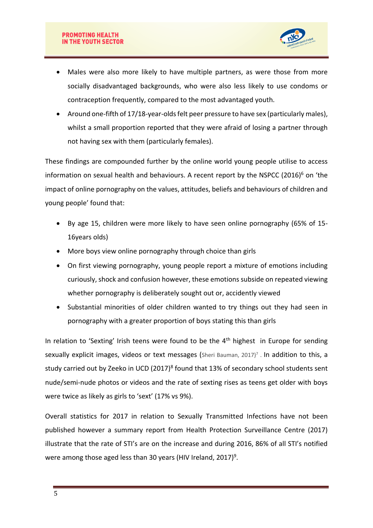

- Males were also more likely to have multiple partners, as were those from more socially disadvantaged backgrounds, who were also less likely to use condoms or contraception frequently, compared to the most advantaged youth.
- Around one-fifth of 17/18-year-olds felt peer pressure to have sex (particularly males), whilst a small proportion reported that they were afraid of losing a partner through not having sex with them (particularly females).

These findings are compounded further by the online world young people utilise to access information on sexual health and behaviours. A recent report by the NSPCC  $(2016)^6$  on 'the impact of online pornography on the values, attitudes, beliefs and behaviours of children and young people' found that:

- By age 15, children were more likely to have seen online pornography (65% of 15- 16years olds)
- More boys view online pornography through choice than girls
- On first viewing pornography, young people report a mixture of emotions including curiously, shock and confusion however, these emotions subside on repeated viewing whether pornography is deliberately sought out or, accidently viewed
- Substantial minorities of older children wanted to try things out they had seen in pornography with a greater proportion of boys stating this than girls

In relation to 'Sexting' Irish teens were found to be the  $4<sup>th</sup>$  highest in Europe for sending sexually explicit images, videos or text messages (Sheri Bauman, 2017)<sup>7</sup>. In addition to this, a study carried out by Zeeko in UCD (2017)<sup>8</sup> found that 13% of secondary school students sent nude/semi-nude photos or videos and the rate of sexting rises as teens get older with boys were twice as likely as girls to 'sext' (17% vs 9%).

Overall statistics for 2017 in relation to Sexually Transmitted Infections have not been published however a summary report from Health Protection Surveillance Centre (2017) illustrate that the rate of STI's are on the increase and during 2016, 86% of all STI's notified were among those aged less than 30 years (HIV Ireland, 2017)<sup>9</sup>.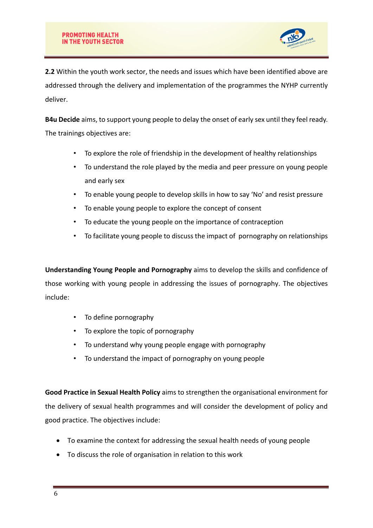

**2.2** Within the youth work sector, the needs and issues which have been identified above are addressed through the delivery and implementation of the programmes the NYHP currently deliver.

**B4u Decide** aims, to support young people to delay the onset of early sex until they feel ready. The trainings objectives are:

- To explore the role of friendship in the development of healthy relationships
- To understand the role played by the media and peer pressure on young people and early sex
- To enable young people to develop skills in how to say 'No' and resist pressure
- To enable young people to explore the concept of consent
- To educate the young people on the importance of contraception
- To facilitate young people to discuss the impact of pornography on relationships

**Understanding Young People and Pornography** aims to develop the skills and confidence of those working with young people in addressing the issues of pornography. The objectives include:

- To define pornography
- To explore the topic of pornography
- To understand why young people engage with pornography
- To understand the impact of pornography on young people

**Good Practice in Sexual Health Policy** aims to strengthen the organisational environment for the delivery of sexual health programmes and will consider the development of policy and good practice. The objectives include:

- To examine the context for addressing the sexual health needs of young people
- To discuss the role of organisation in relation to this work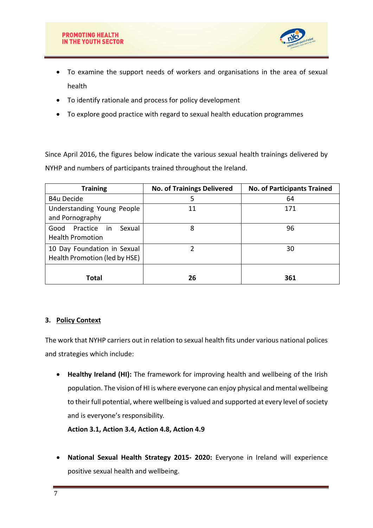

- To examine the support needs of workers and organisations in the area of sexual health
- To identify rationale and process for policy development
- To explore good practice with regard to sexual health education programmes

Since April 2016, the figures below indicate the various sexual health trainings delivered by NYHP and numbers of participants trained throughout the Ireland.

| <b>Training</b>                                              | <b>No. of Trainings Delivered</b> | <b>No. of Participants Trained</b> |
|--------------------------------------------------------------|-----------------------------------|------------------------------------|
| <b>B4u Decide</b>                                            | 5                                 | 64                                 |
| Understanding Young People<br>and Pornography                | 11                                | 171                                |
| Practice in<br>Sexual<br>Good<br><b>Health Promotion</b>     | 8                                 | 96                                 |
| 10 Day Foundation in Sexual<br>Health Promotion (led by HSE) |                                   | 30                                 |
| Total                                                        | 26                                | 361                                |

### **3. Policy Context**

The work that NYHP carriers out in relation to sexual health fits under various national polices and strategies which include:

 **Healthy Ireland (HI):** The framework for improving health and wellbeing of the Irish population. The vision of HI is where everyone can enjoy physical and mental wellbeing to their full potential, where wellbeing is valued and supported at every level of society and is everyone's responsibility.

**Action 3.1, Action 3.4, Action 4.8, Action 4.9**

 **National Sexual Health Strategy 2015- 2020:** Everyone in Ireland will experience positive sexual health and wellbeing.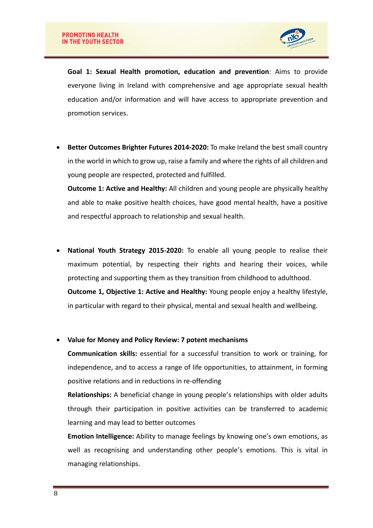

**Goal 1: Sexual Health promotion, education and prevention**: Aims to provide everyone living in Ireland with comprehensive and age appropriate sexual health education and/or information and will have access to appropriate prevention and promotion services.

 **Better Outcomes Brighter Futures 2014-2020:** To make Ireland the best small country in the world in which to grow up, raise a family and where the rights of all children and young people are respected, protected and fulfilled.

**Outcome 1: Active and Healthy:** All children and young people are physically healthy and able to make positive health choices, have good mental health, have a positive and respectful approach to relationship and sexual health.

 **National Youth Strategy 2015-2020:** To enable all young people to realise their maximum potential, by respecting their rights and hearing their voices, while protecting and supporting them as they transition from childhood to adulthood. **Outcome 1, Objective 1: Active and Healthy:** Young people enjoy a healthy lifestyle, in particular with regard to their physical, mental and sexual health and wellbeing.

**Value for Money and Policy Review: 7 potent mechanisms**

**Communication skills:** essential for a successful transition to work or training, for independence, and to access a range of life opportunities, to attainment, in forming positive relations and in reductions in re-offending

**Relationships:** A beneficial change in young people's relationships with older adults through their participation in positive activities can be transferred to academic learning and may lead to better outcomes

**Emotion Intelligence:** Ability to manage feelings by knowing one's own emotions, as well as recognising and understanding other people's emotions. This is vital in managing relationships.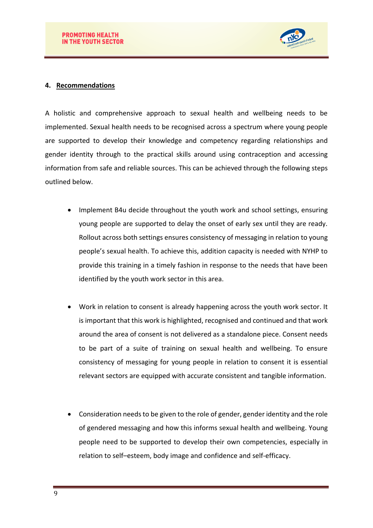

#### **4. Recommendations**

A holistic and comprehensive approach to sexual health and wellbeing needs to be implemented. Sexual health needs to be recognised across a spectrum where young people are supported to develop their knowledge and competency regarding relationships and gender identity through to the practical skills around using contraception and accessing information from safe and reliable sources. This can be achieved through the following steps outlined below.

- Implement B4u decide throughout the youth work and school settings, ensuring young people are supported to delay the onset of early sex until they are ready. Rollout across both settings ensures consistency of messaging in relation to young people's sexual health. To achieve this, addition capacity is needed with NYHP to provide this training in a timely fashion in response to the needs that have been identified by the youth work sector in this area.
- Work in relation to consent is already happening across the youth work sector. It is important that this work is highlighted, recognised and continued and that work around the area of consent is not delivered as a standalone piece. Consent needs to be part of a suite of training on sexual health and wellbeing. To ensure consistency of messaging for young people in relation to consent it is essential relevant sectors are equipped with accurate consistent and tangible information.
- Consideration needs to be given to the role of gender, gender identity and the role of gendered messaging and how this informs sexual health and wellbeing. Young people need to be supported to develop their own competencies, especially in relation to self–esteem, body image and confidence and self-efficacy.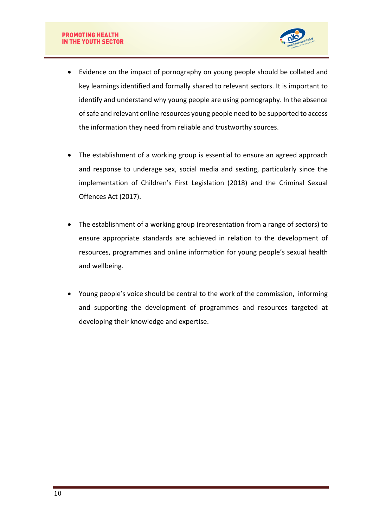

- Evidence on the impact of pornography on young people should be collated and key learnings identified and formally shared to relevant sectors. It is important to identify and understand why young people are using pornography. In the absence of safe and relevant online resources young people need to be supported to access the information they need from reliable and trustworthy sources.
- The establishment of a working group is essential to ensure an agreed approach and response to underage sex, social media and sexting, particularly since the implementation of Children's First Legislation (2018) and the Criminal Sexual Offences Act (2017).
- The establishment of a working group (representation from a range of sectors) to ensure appropriate standards are achieved in relation to the development of resources, programmes and online information for young people's sexual health and wellbeing.
- Young people's voice should be central to the work of the commission, informing and supporting the development of programmes and resources targeted at developing their knowledge and expertise.